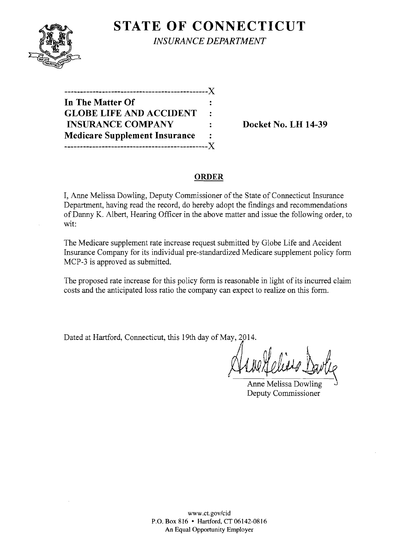

**STATE OF CONNECTICUT** *INSURANCE DEPARTMENT* 

----------------------------------------------)( **In The Matter Of GLOBE LIFE AND ACCIDENT INSURANCE COMPANY** : Docket No. LH 14-39 **Medicare Supplement Insurance**   $\ddot{\cdot}$ ----------------------------------------------)(

#### **ORDER**

I, Anne Melissa Dowling, Deputy Commissioner of the State of Connecticut Insurance Department, having read the record, do hereby adopt the findings and recommendations of Danny K. Albert, Hearing Officer in the above matter and issue the following order, to wit:

The Medicare supplement rate increase request submitted by Globe Life and Accident Insurance Company for its individual pre-standardized Medicare supplement policy form MCP-3 is approved as submitted.

The proposed rate increase for this policy form is reasonable in light of its incurred claim costs and the anticipated loss ratio the company can expect to realize on this form.

Dated at Hartford, Connecticut, this 19th day of May, 2014.

Anne Melissa Dowling Deputy Commissioner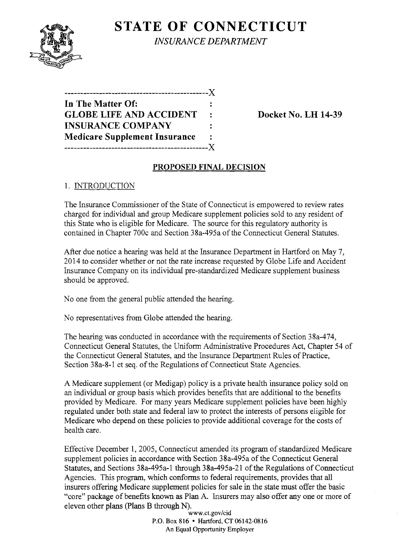

**STATE OF CONNECTICUT** *INSURANCE DEPARTMENT* 

| ---------------------------X         |              |
|--------------------------------------|--------------|
| In The Matter Of:                    |              |
| <b>GLOBE LIFE AND ACCIDENT</b>       | $\mathbf{r}$ |
| <b>INSURANCE COMPANY</b>             |              |
| <b>Medicare Supplement Insurance</b> |              |
| -------------------------            | . X -        |

Docket No. LH 14-39

### PROPOSED FINAL DECISION

# 1. INTRODUCTION

The Insurance Commissioner of the State of Connecticut is empowered to review rates charged for individual and group Medicare supplement policies sold to any resident of this State who is eligible for Medicare. The source for this regulatory authority is contained in Chapter 700c and Section 38a-495a of the Connecticut General Statutes.

After due notice a hearing was held at the Insurance Department in Hartford on May 7, 2014 to consider whether or not the rate increase requested by Globe Life and Accident Insurance Company on its individual pre-standardized Medicare supplement business should be approved.

No one from the general public attended the hearing.

No representatives from Globe attended the hearing.

The hearing was conducted in accordance with the requirements of Section 38a-474, Connecticut General Statutes, the Uniform Administrative Procedures Act, Chapter 54 of the Connecticut General Statutes, and the Insurance Department Rules of Practice, Section 38a-8-1 et seq. of the Regulations of Connecticut State Agencies.

A Medicare supplement (or Medigap) policy is a private health insurance policy sold on an individual or group basis which provides benefits that are additional to the benefits provided by Medicare. For many years Medicare supplement policies have been highly regulated under both state and federal law to protect the interests of persons eligible for Medicare who depend on these policies to provide additional coverage for the costs of health care.

Effective December 1,2005, Connecticut amended its program of standardized Medicare supplement policies in accordance with Section 38a-495a of the Connecticut General Statutes, and Sections 38a-495a-1 through 38a-495a-21 of the Regulations of Connecticut Agencies. This program, which conforms to federal requirements, provides that all insurers offering Medicare supplement policies for sale in the state must offer the basic "core" package of benefits known as Plan A. Insurers may also offer anyone or more of eleven other plans (plans B through N).

www.ct.gov/cid P.O. Box 816 • Hartford, CT 06142-0816 An Equal Opportunity Employer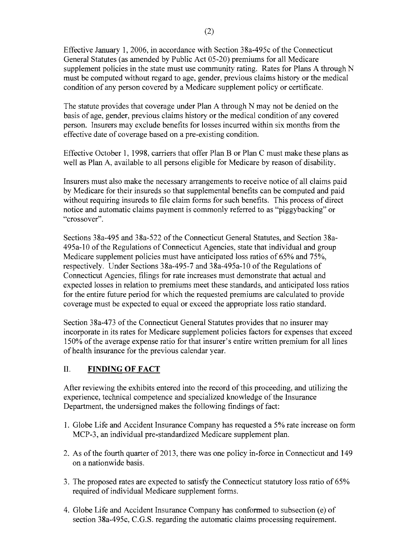Effective January 1,2006, in accordance with Section 38a-495c of the Connecticut General Statutes (as amended by Public Act 05-20) premiums for all Medicare supplement policies in the state must use community rating. Rates for Plans A through N must be computed without regard to age, gender, previous claims history or the medical condition of any person covered by a Medicare supplement policy or certificate.

The statute provides that coverage under Plan A through N may not be denied on the basis of age, gender, previous claims history or the medical condition of any covered person. Insurers may exclude benefits for losses incurred within six months from the effective date of coverage based on a pre-existing condition.

Effective October 1, 1998, carriers that offer Plan B or Plan C must make these plans as well as Plan A, available to all persons eligible for Medicare by reason of disability.

Insurers must also make the necessary arrangements to receive notice of all claims paid by Medicare for their insureds so that supplemental benefits can be computed and paid without requiring insureds to file claim forms for such benefits. This process of direct notice and automatic claims payment is commonly referred to as "piggybacking" or "crossover".

Sections 38a-495 and 38a-522 of the Connecticut General Statutes, and Section 38a-495a-10 of the Regulations of Connecticut Agencies, state that individual and group Medicare supplement policies must have anticipated loss ratios of 65% and 75%, respectively. Under Sections 38a-495-7 and 38a-495a-1 0 of the Regulations of Connecticut Agencies, filings for rate increases must demonstrate that actual and expected losses in relation to premiums meet these standards, and anticipated loss ratios for the entire future period for which the requested premiums are calculated to provide coverage must be expected to equal or exceed the appropriate loss ratio standard.

Section 38a-473 of the Connecticut General Statutes provides that no insurer may incorporate in its rates for Medicare supplement policies factors for expenses that exceed 150% ofthe average expense ratio for that insurer's entire written premium for all lines of health insurance for the previous calendar year.

# II. **FINDING OF FACT**

After reviewing the exhibits entered into the record of this proceeding, and utilizing the experience, technical competence and specialized knowledge of the Insurance Department, the undersigned makes the following findings of fact:

- 1. Globe Life and Accident Insurance Company has requested a 5% rate increase on form MCP-3, an individual pre-standardized Medicare supplement plan.
- 2. As of the fourth quarter of 2013, there was one policy in-force in Connecticut and 149 on a nationwide basis.
- 3. The proposed rates are expected to satisfy the Connecticut statutory loss ratio of 65% required of individual Medicare supplement forms.
- 4. Globe Life and Accident Insurance Company has conformed to subsection (e) of section 38a-495c, C.G.S. regarding the automatic claims processing requirement.